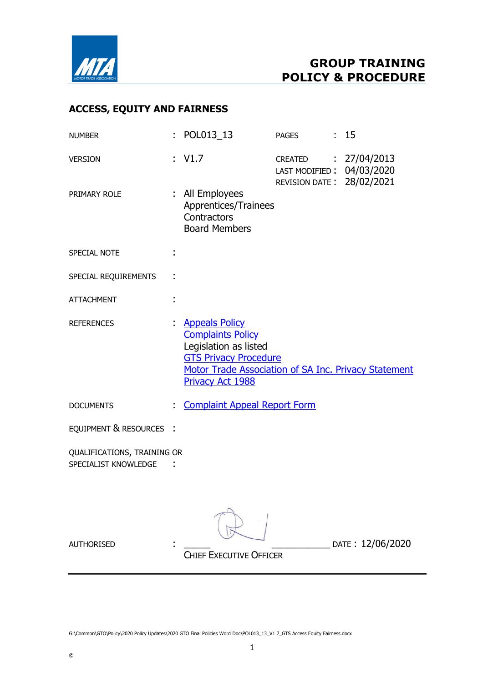

# ACCESS, EQUITY AND FAIRNESS

| <b>NUMBER</b>                                       |                | : POL013_13                                                                                                                                                                                   | <b>PAGES</b>                                                                   | : 15             |
|-----------------------------------------------------|----------------|-----------------------------------------------------------------------------------------------------------------------------------------------------------------------------------------------|--------------------------------------------------------------------------------|------------------|
| <b>VERSION</b>                                      |                | : $V1.7$                                                                                                                                                                                      | CREATED : 27/04/2013<br>LAST MODIFIED: 04/03/2020<br>REVISION DATE: 28/02/2021 |                  |
| PRIMARY ROLE                                        |                | : All Employees<br>Apprentices/Trainees<br>Contractors<br><b>Board Members</b>                                                                                                                |                                                                                |                  |
| SPECIAL NOTE                                        |                |                                                                                                                                                                                               |                                                                                |                  |
| SPECIAL REQUIREMENTS                                |                |                                                                                                                                                                                               |                                                                                |                  |
| <b>ATTACHMENT</b>                                   |                |                                                                                                                                                                                               |                                                                                |                  |
| <b>REFERENCES</b>                                   | $\mathbb{R}^n$ | <b>Appeals Policy</b><br><b>Complaints Policy</b><br>Legislation as listed<br><b>GTS Privacy Procedure</b><br>Motor Trade Association of SA Inc. Privacy Statement<br><b>Privacy Act 1988</b> |                                                                                |                  |
| <b>DOCUMENTS</b>                                    | t.             | <b>Complaint Appeal Report Form</b>                                                                                                                                                           |                                                                                |                  |
| EQUIPMENT & RESOURCES                               |                |                                                                                                                                                                                               |                                                                                |                  |
| QUALIFICATIONS, TRAINING OR<br>SPECIALIST KNOWLEDGE |                |                                                                                                                                                                                               |                                                                                |                  |
| <b>AUTHORISED</b>                                   |                | <b>CHIEF EXECUTIVE OFFICER</b>                                                                                                                                                                |                                                                                | DATE: 12/06/2020 |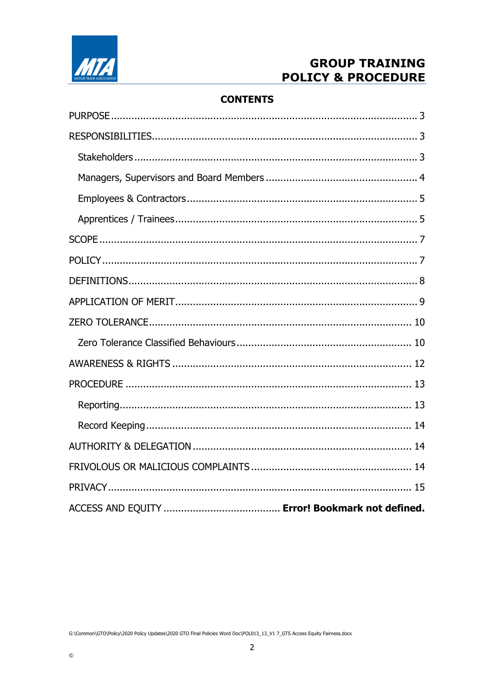

# **CONTENTS**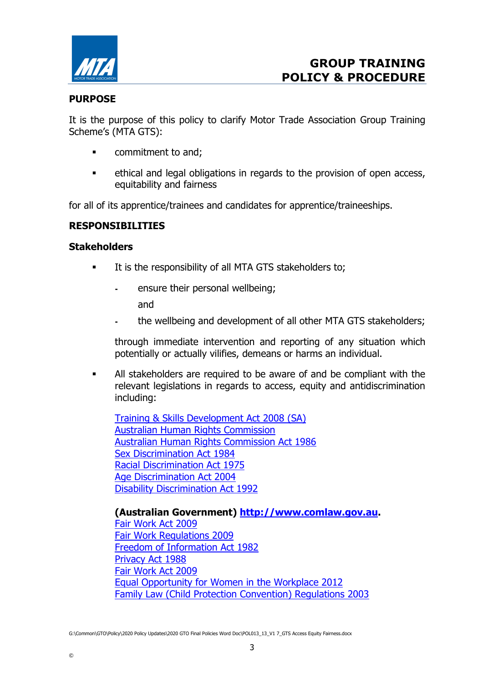

### PURPOSE

It is the purpose of this policy to clarify Motor Trade Association Group Training Scheme's (MTA GTS):

- **•** commitment to and;
- ethical and legal obligations in regards to the provision of open access, equitability and fairness

for all of its apprentice/trainees and candidates for apprentice/traineeships.

## RESPONSIBILITIES

#### **Stakeholders**

- It is the responsibility of all MTA GTS stakeholders to;
	- ensure their personal wellbeing; and
	- the wellbeing and development of all other MTA GTS stakeholders;

through immediate intervention and reporting of any situation which potentially or actually vilifies, demeans or harms an individual.

 All stakeholders are required to be aware of and be compliant with the relevant legislations in regards to access, equity and antidiscrimination including:

Training & Skills Development Act 2008 (SA) Australian Human Rights Commission Australian Human Rights Commission Act 1986 Sex Discrimination Act 1984 Racial Discrimination Act 1975 Age Discrimination Act 2004 Disability Discrimination Act 1992

(Australian Government) http://www.comlaw.gov.au.

Fair Work Act 2009 Fair Work Regulations 2009 Freedom of Information Act 1982 Privacy Act 1988 Fair Work Act 2009 Equal Opportunity for Women in the Workplace 2012 Family Law (Child Protection Convention) Regulations 2003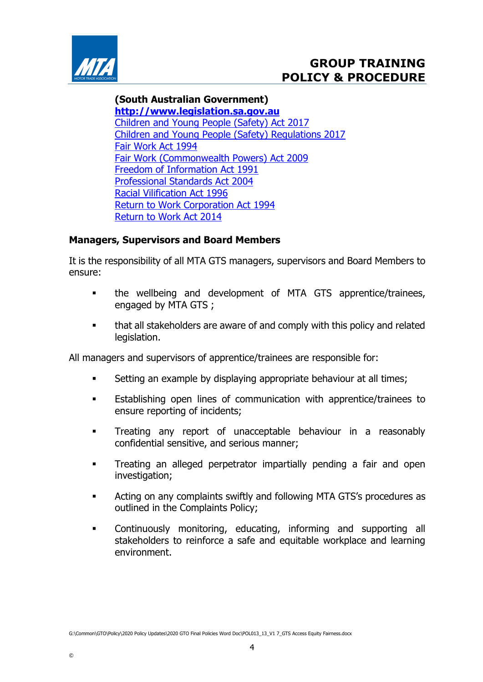

#### (South Australian Government)

http://www.legislation.sa.gov.au Children and Young People (Safety) Act 2017 Children and Young People (Safety) Regulations 2017 Fair Work Act 1994 Fair Work (Commonwealth Powers) Act 2009 Freedom of Information Act 1991 Professional Standards Act 2004 Racial Vilification Act 1996 Return to Work Corporation Act 1994 Return to Work Act 2014

## Managers, Supervisors and Board Members

It is the responsibility of all MTA GTS managers, supervisors and Board Members to ensure:

- the wellbeing and development of MTA GTS apprentice/trainees, engaged by MTA GTS ;
- that all stakeholders are aware of and comply with this policy and related legislation.

All managers and supervisors of apprentice/trainees are responsible for:

- Setting an example by displaying appropriate behaviour at all times;
- Establishing open lines of communication with apprentice/trainees to ensure reporting of incidents;
- **Treating any report of unacceptable behaviour in a reasonably** confidential sensitive, and serious manner;
- **Treating an alleged perpetrator impartially pending a fair and open** investigation;
- **EXECT:** Acting on any complaints swiftly and following MTA GTS's procedures as outlined in the Complaints Policy;
- Continuously monitoring, educating, informing and supporting all stakeholders to reinforce a safe and equitable workplace and learning environment.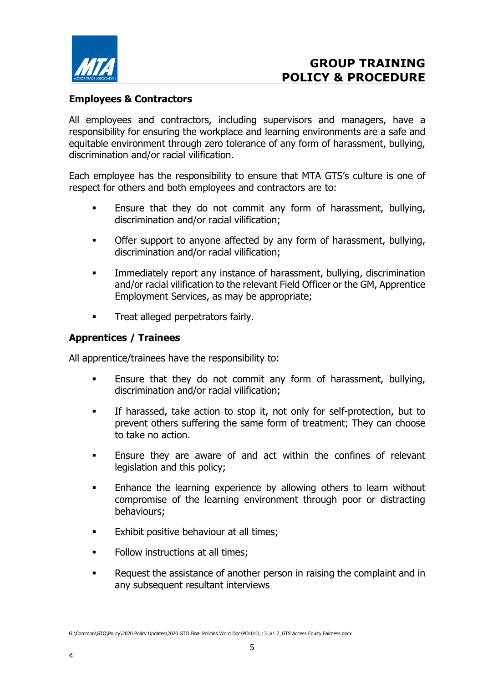

# Employees & Contractors

All employees and contractors, including supervisors and managers, have a responsibility for ensuring the workplace and learning environments are a safe and equitable environment through zero tolerance of any form of harassment, bullying, discrimination and/or racial vilification.

Each employee has the responsibility to ensure that MTA GTS's culture is one of respect for others and both employees and contractors are to:

- **Ensure that they do not commit any form of harassment, bullying,** discrimination and/or racial vilification;
- **•** Offer support to anyone affected by any form of harassment, bullying, discrimination and/or racial vilification;
- Immediately report any instance of harassment, bullying, discrimination and/or racial vilification to the relevant Field Officer or the GM, Apprentice Employment Services, as may be appropriate;
- **Treat alleged perpetrators fairly.**

### Apprentices / Trainees

All apprentice/trainees have the responsibility to:

- Ensure that they do not commit any form of harassment, bullying, discrimination and/or racial vilification;
- If harassed, take action to stop it, not only for self-protection, but to prevent others suffering the same form of treatment; They can choose to take no action.
- Ensure they are aware of and act within the confines of relevant legislation and this policy;
- **Enhance the learning experience by allowing others to learn without** compromise of the learning environment through poor or distracting behaviours;
- **Exhibit positive behaviour at all times;**
- Follow instructions at all times;
- **EXECUTE:** Request the assistance of another person in raising the complaint and in any subsequent resultant interviews

G:\Common\GTO\Policy\2020 Policy Updates\2020 GTO Final Policies Word Doc\POL013\_13\_V1 7\_GTS Access Equity Fairness.docx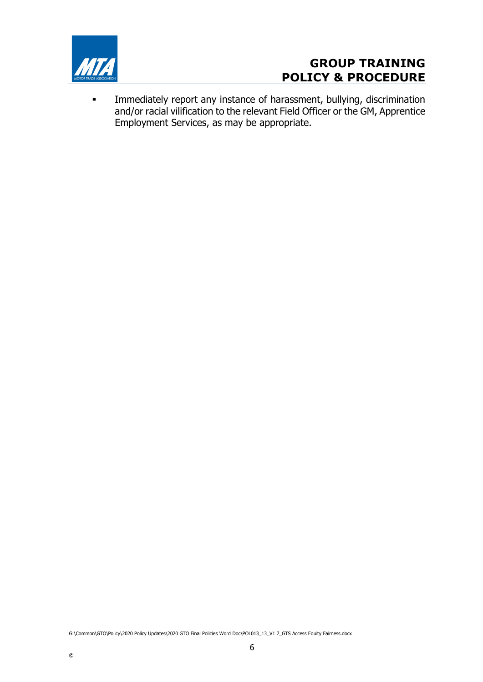

 Immediately report any instance of harassment, bullying, discrimination and/or racial vilification to the relevant Field Officer or the GM, Apprentice Employment Services, as may be appropriate.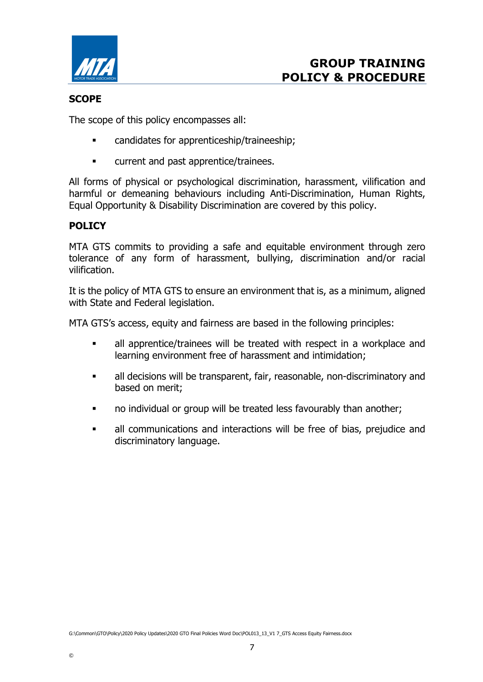

### **SCOPE**

The scope of this policy encompasses all:

- candidates for apprenticeship/traineeship;
- **EXECUTE:** Current and past apprentice/trainees.

All forms of physical or psychological discrimination, harassment, vilification and harmful or demeaning behaviours including Anti-Discrimination, Human Rights, Equal Opportunity & Disability Discrimination are covered by this policy.

# POLICY

MTA GTS commits to providing a safe and equitable environment through zero tolerance of any form of harassment, bullying, discrimination and/or racial vilification.

It is the policy of MTA GTS to ensure an environment that is, as a minimum, aligned with State and Federal legislation.

MTA GTS's access, equity and fairness are based in the following principles:

- all apprentice/trainees will be treated with respect in a workplace and learning environment free of harassment and intimidation;
- all decisions will be transparent, fair, reasonable, non-discriminatory and based on merit;
- no individual or group will be treated less favourably than another;
- all communications and interactions will be free of bias, prejudice and discriminatory language.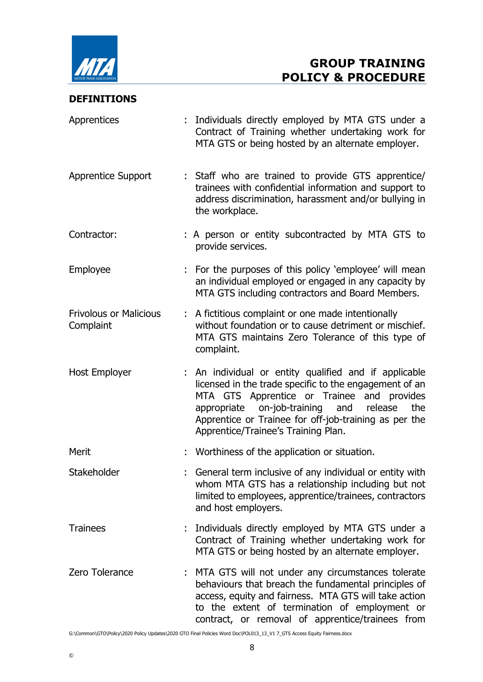

#### DEFINITIONS

| Apprentices                                | : Individuals directly employed by MTA GTS under a<br>Contract of Training whether undertaking work for<br>MTA GTS or being hosted by an alternate employer.                                                                                                                                                       |
|--------------------------------------------|--------------------------------------------------------------------------------------------------------------------------------------------------------------------------------------------------------------------------------------------------------------------------------------------------------------------|
| <b>Apprentice Support</b>                  | : Staff who are trained to provide GTS apprentice/<br>trainees with confidential information and support to<br>address discrimination, harassment and/or bullying in<br>the workplace.                                                                                                                             |
| Contractor:                                | : A person or entity subcontracted by MTA GTS to<br>provide services.                                                                                                                                                                                                                                              |
| Employee                                   | : For the purposes of this policy 'employee' will mean<br>an individual employed or engaged in any capacity by<br>MTA GTS including contractors and Board Members.                                                                                                                                                 |
| <b>Frivolous or Malicious</b><br>Complaint | : A fictitious complaint or one made intentionally<br>without foundation or to cause detriment or mischief.<br>MTA GTS maintains Zero Tolerance of this type of<br>complaint.                                                                                                                                      |
| Host Employer                              | : An individual or entity qualified and if applicable<br>licensed in the trade specific to the engagement of an<br>MTA GTS Apprentice or Trainee and provides<br>appropriate on-job-training and<br>release<br>the<br>Apprentice or Trainee for off-job-training as per the<br>Apprentice/Trainee's Training Plan. |
| Merit                                      | Worthiness of the application or situation.                                                                                                                                                                                                                                                                        |
| Stakeholder                                | General term inclusive of any individual or entity with<br>whom MTA GTS has a relationship including but not<br>limited to employees, apprentice/trainees, contractors<br>and host employers.                                                                                                                      |
| <b>Trainees</b>                            | : Individuals directly employed by MTA GTS under a<br>Contract of Training whether undertaking work for<br>MTA GTS or being hosted by an alternate employer.                                                                                                                                                       |
| Zero Tolerance                             | MTA GTS will not under any circumstances tolerate<br>behaviours that breach the fundamental principles of<br>access, equity and fairness. MTA GTS will take action<br>to the extent of termination of employment or<br>contract, or removal of apprentice/trainees from                                            |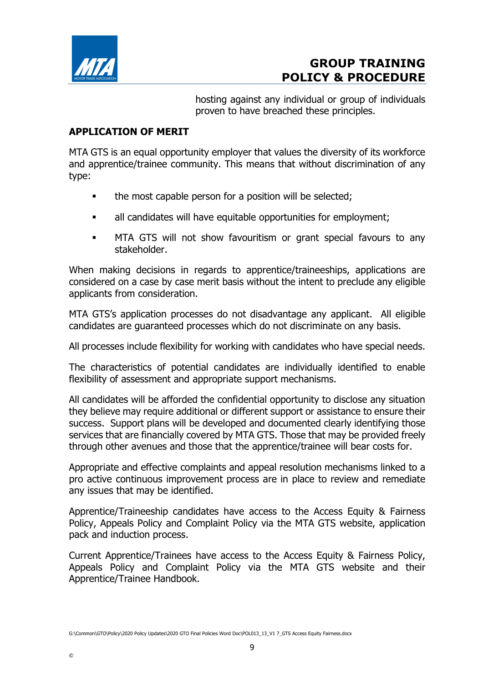

hosting against any individual or group of individuals proven to have breached these principles.

## APPLICATION OF MERIT

MTA GTS is an equal opportunity employer that values the diversity of its workforce and apprentice/trainee community. This means that without discrimination of any type:

- the most capable person for a position will be selected;
- all candidates will have equitable opportunities for employment;
- MTA GTS will not show favouritism or grant special favours to any stakeholder.

When making decisions in regards to apprentice/traineeships, applications are considered on a case by case merit basis without the intent to preclude any eligible applicants from consideration.

MTA GTS's application processes do not disadvantage any applicant. All eligible candidates are guaranteed processes which do not discriminate on any basis.

All processes include flexibility for working with candidates who have special needs.

The characteristics of potential candidates are individually identified to enable flexibility of assessment and appropriate support mechanisms.

All candidates will be afforded the confidential opportunity to disclose any situation they believe may require additional or different support or assistance to ensure their success. Support plans will be developed and documented clearly identifying those services that are financially covered by MTA GTS. Those that may be provided freely through other avenues and those that the apprentice/trainee will bear costs for.

Appropriate and effective complaints and appeal resolution mechanisms linked to a pro active continuous improvement process are in place to review and remediate any issues that may be identified.

Apprentice/Traineeship candidates have access to the Access Equity & Fairness Policy, Appeals Policy and Complaint Policy via the MTA GTS website, application pack and induction process.

Current Apprentice/Trainees have access to the Access Equity & Fairness Policy, Appeals Policy and Complaint Policy via the MTA GTS website and their Apprentice/Trainee Handbook.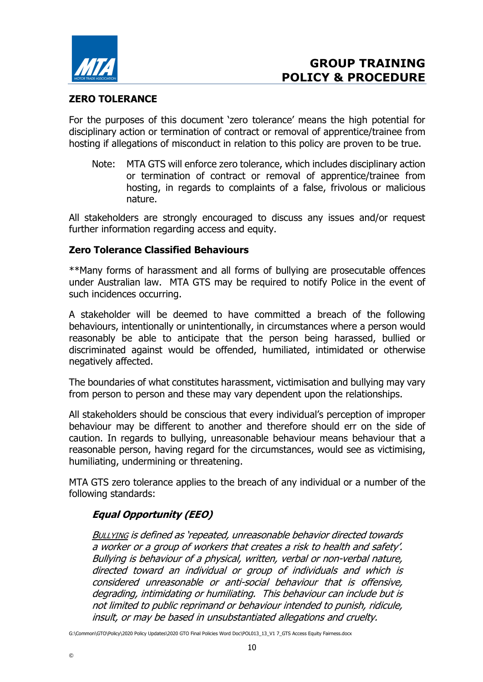

## ZERO TOLERANCE

For the purposes of this document 'zero tolerance' means the high potential for disciplinary action or termination of contract or removal of apprentice/trainee from hosting if allegations of misconduct in relation to this policy are proven to be true.

Note: MTA GTS will enforce zero tolerance, which includes disciplinary action or termination of contract or removal of apprentice/trainee from hosting, in regards to complaints of a false, frivolous or malicious nature.

All stakeholders are strongly encouraged to discuss any issues and/or request further information regarding access and equity.

#### Zero Tolerance Classified Behaviours

\*\*Many forms of harassment and all forms of bullying are prosecutable offences under Australian law. MTA GTS may be required to notify Police in the event of such incidences occurring.

A stakeholder will be deemed to have committed a breach of the following behaviours, intentionally or unintentionally, in circumstances where a person would reasonably be able to anticipate that the person being harassed, bullied or discriminated against would be offended, humiliated, intimidated or otherwise negatively affected.

The boundaries of what constitutes harassment, victimisation and bullying may vary from person to person and these may vary dependent upon the relationships.

All stakeholders should be conscious that every individual's perception of improper behaviour may be different to another and therefore should err on the side of caution. In regards to bullying, unreasonable behaviour means behaviour that a reasonable person, having regard for the circumstances, would see as victimising, humiliating, undermining or threatening.

MTA GTS zero tolerance applies to the breach of any individual or a number of the following standards:

# Equal Opportunity (EEO)

©

**BULLYING is defined as 'repeated, unreasonable behavior directed towards** a worker or a group of workers that creates a risk to health and safety'. Bullying is behaviour of a physical, written, verbal or non-verbal nature, directed toward an individual or group of individuals and which is considered unreasonable or anti-social behaviour that is offensive, degrading, intimidating or humiliating. This behaviour can include but is not limited to public reprimand or behaviour intended to punish, ridicule, insult, or may be based in unsubstantiated allegations and cruelty.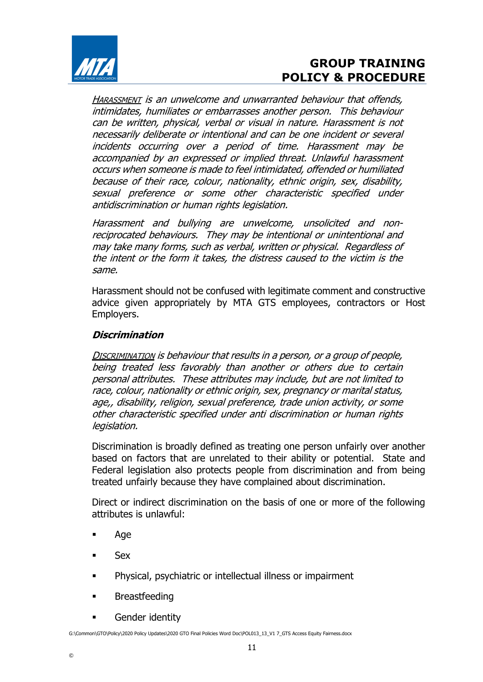

HARASSMENT is an unwelcome and unwarranted behaviour that offends, intimidates, humiliates or embarrasses another person. This behaviour can be written, physical, verbal or visual in nature. Harassment is not necessarily deliberate or intentional and can be one incident or several incidents occurring over a period of time. Harassment may be accompanied by an expressed or implied threat. Unlawful harassment occurs when someone is made to feel intimidated, offended or humiliated because of their race, colour, nationality, ethnic origin, sex, disability, sexual preference or some other characteristic specified under antidiscrimination or human rights legislation.

Harassment and bullying are unwelcome, unsolicited and nonreciprocated behaviours. They may be intentional or unintentional and may take many forms, such as verbal, written or physical. Regardless of the intent or the form it takes, the distress caused to the victim is the same.

Harassment should not be confused with legitimate comment and constructive advice given appropriately by MTA GTS employees, contractors or Host Employers.

## Discrimination

DISCRIMINATION is behaviour that results in a person, or a group of people, being treated less favorably than another or others due to certain personal attributes. These attributes may include, but are not limited to race, colour, nationality or ethnic origin, sex, pregnancy or marital status, age,, disability, religion, sexual preference, trade union activity, or some other characteristic specified under anti discrimination or human rights legislation.

Discrimination is broadly defined as treating one person unfairly over another based on factors that are unrelated to their ability or potential. State and Federal legislation also protects people from discrimination and from being treated unfairly because they have complained about discrimination.

Direct or indirect discrimination on the basis of one or more of the following attributes is unlawful:

- Age
- Sex

©

- Physical, psychiatric or intellectual illness or impairment
- **Breastfeeding**
- **Gender identity**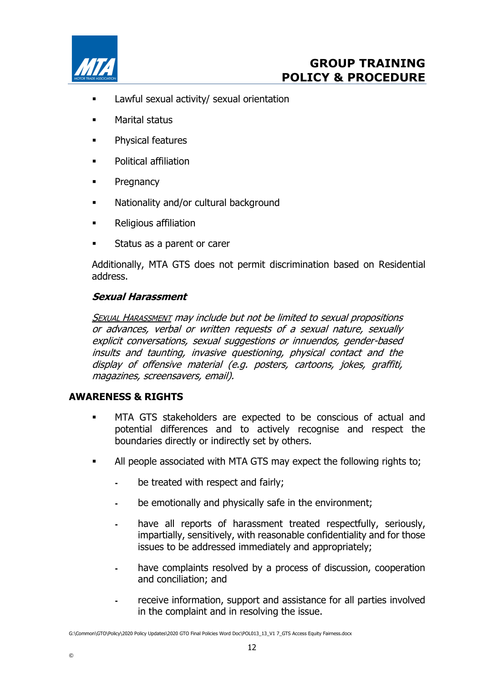

- **EXEC** Lawful sexual activity/ sexual orientation
- Marital status
- Physical features
- **•** Political affiliation
- **•** Pregnancy
- **Nationality and/or cultural background**
- **EXECUTE:** Religious affiliation
- Status as a parent or carer

Additionally, MTA GTS does not permit discrimination based on Residential address.

## Sexual Harassment

**SEXUAL HARASSMENT** may include but not be limited to sexual propositions or advances, verbal or written requests of a sexual nature, sexually explicit conversations, sexual suggestions or innuendos, gender-based insults and taunting, invasive questioning, physical contact and the display of offensive material (e.g. posters, cartoons, jokes, graffiti, magazines, screensavers, email).

#### AWARENESS & RIGHTS

- MTA GTS stakeholders are expected to be conscious of actual and potential differences and to actively recognise and respect the boundaries directly or indirectly set by others.
- All people associated with MTA GTS may expect the following rights to;
	- be treated with respect and fairly;
	- be emotionally and physically safe in the environment;
	- have all reports of harassment treated respectfully, seriously, impartially, sensitively, with reasonable confidentiality and for those issues to be addressed immediately and appropriately;
	- have complaints resolved by a process of discussion, cooperation and conciliation; and
	- receive information, support and assistance for all parties involved in the complaint and in resolving the issue.

G:\Common\GTO\Policy\2020 Policy Updates\2020 GTO Final Policies Word Doc\POL013\_13\_V1 7\_GTS Access Equity Fairness.docx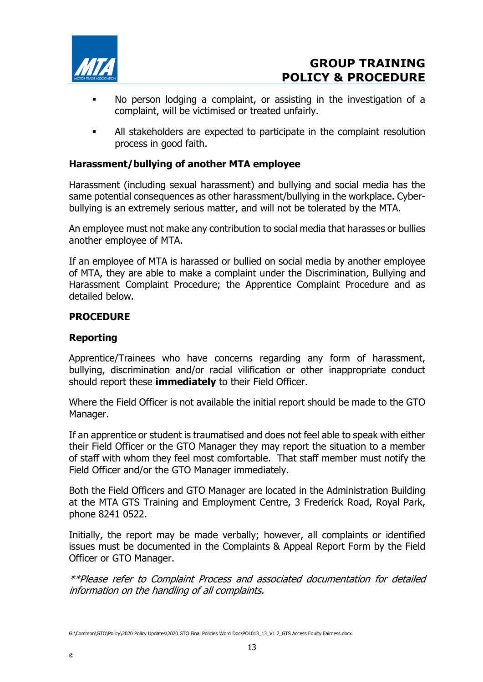

- No person lodging a complaint, or assisting in the investigation of a complaint, will be victimised or treated unfairly.
- All stakeholders are expected to participate in the complaint resolution process in good faith.

### Harassment/bullying of another MTA employee

Harassment (including sexual harassment) and bullying and social media has the same potential consequences as other harassment/bullying in the workplace. Cyberbullying is an extremely serious matter, and will not be tolerated by the MTA.

An employee must not make any contribution to social media that harasses or bullies another employee of MTA.

If an employee of MTA is harassed or bullied on social media by another employee of MTA, they are able to make a complaint under the Discrimination, Bullying and Harassment Complaint Procedure; the Apprentice Complaint Procedure and as detailed below.

#### PROCEDURE

#### Reporting

©

Apprentice/Trainees who have concerns regarding any form of harassment, bullying, discrimination and/or racial vilification or other inappropriate conduct should report these *immediately* to their Field Officer.

Where the Field Officer is not available the initial report should be made to the GTO Manager.

If an apprentice or student is traumatised and does not feel able to speak with either their Field Officer or the GTO Manager they may report the situation to a member of staff with whom they feel most comfortable. That staff member must notify the Field Officer and/or the GTO Manager immediately.

Both the Field Officers and GTO Manager are located in the Administration Building at the MTA GTS Training and Employment Centre, 3 Frederick Road, Royal Park, phone 8241 0522.

Initially, the report may be made verbally; however, all complaints or identified issues must be documented in the Complaints & Appeal Report Form by the Field Officer or GTO Manager.

\*\*Please refer to Complaint Process and associated documentation for detailed information on the handling of all complaints.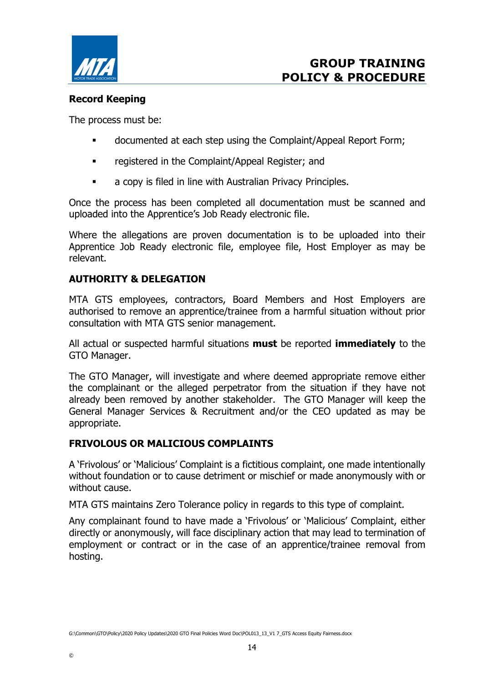

# Record Keeping

The process must be:

- documented at each step using the Complaint/Appeal Report Form;
- **EXEC** registered in the Complaint/Appeal Register; and
- **a** copy is filed in line with Australian Privacy Principles.

Once the process has been completed all documentation must be scanned and uploaded into the Apprentice's Job Ready electronic file.

Where the allegations are proven documentation is to be uploaded into their Apprentice Job Ready electronic file, employee file, Host Employer as may be relevant.

## AUTHORITY & DELEGATION

MTA GTS employees, contractors, Board Members and Host Employers are authorised to remove an apprentice/trainee from a harmful situation without prior consultation with MTA GTS senior management.

All actual or suspected harmful situations **must** be reported **immediately** to the GTO Manager.

The GTO Manager, will investigate and where deemed appropriate remove either the complainant or the alleged perpetrator from the situation if they have not already been removed by another stakeholder. The GTO Manager will keep the General Manager Services & Recruitment and/or the CEO updated as may be appropriate.

#### FRIVOLOUS OR MALICIOUS COMPLAINTS

A 'Frivolous' or 'Malicious' Complaint is a fictitious complaint, one made intentionally without foundation or to cause detriment or mischief or made anonymously with or without cause.

MTA GTS maintains Zero Tolerance policy in regards to this type of complaint.

Any complainant found to have made a 'Frivolous' or 'Malicious' Complaint, either directly or anonymously, will face disciplinary action that may lead to termination of employment or contract or in the case of an apprentice/trainee removal from hosting.